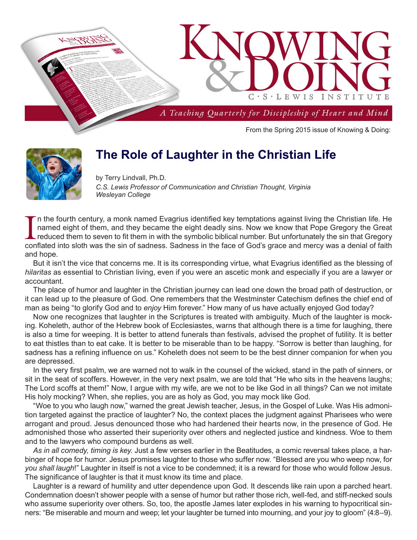

# **The Role of Laughter in the Christian Life**

by Terry Lindvall, Ph.D. *C.S. Lewis Professor of Communication and Christian Thought, Virginia Wesleyan College*

In the fourth century, a monk named Evagrius identified key temptations against living the Christian life. He named eight of them, and they became the eight deadly sins. Now we know that Pope Gregory the Great reduced them n the fourth century, a monk named Evagrius identified key temptations against living the Christian life. He named eight of them, and they became the eight deadly sins. Now we know that Pope Gregory the Great reduced them to seven to fit them in with the symbolic biblical number. But unfortunately the sin that Gregory and hope.

But it isn't the vice that concerns me. It is its corresponding virtue, what Evagrius identified as the blessing of *hilaritas* as essential to Christian living, even if you were an ascetic monk and especially if you are a lawyer or accountant.

The place of humor and laughter in the Christian journey can lead one down the broad path of destruction, or it can lead up to the pleasure of God. One remembers that the Westminster Catechism defines the chief end of man as being "to glorify God and to *enjoy* Him forever." How many of us have actually enjoyed God today?

Now one recognizes that laughter in the Scriptures is treated with ambiguity. Much of the laughter is mocking. Koheleth, author of the Hebrew book of Ecclesiastes, warns that although there is a time for laughing, there is also a time for weeping. It is better to attend funerals than festivals, advised the prophet of futility. It is better to eat thistles than to eat cake. It is better to be miserable than to be happy. "Sorrow is better than laughing, for sadness has a refining influence on us." Koheleth does not seem to be the best dinner companion for when you are depressed.

In the very first psalm, we are warned not to walk in the counsel of the wicked, stand in the path of sinners, or sit in the seat of scoffers. However, in the very next psalm, we are told that "He who sits in the heavens laughs; The Lord scoffs at them!" Now, I argue with my wife, are we not to be like God in all things? Can we not imitate His holy mocking? When, she replies, you are as holy as God, you may mock like God.

"Woe to you who laugh now," warned the great Jewish teacher, Jesus, in the Gospel of Luke. Was His admonition targeted against the practice of laughter? No, the context places the judgment against Pharisees who were arrogant and proud. Jesus denounced those who had hardened their hearts now, in the presence of God. He admonished those who asserted their superiority over others and neglected justice and kindness. Woe to them and to the lawyers who compound burdens as well.

*As in all comedy, timing is key*. Just a few verses earlier in the Beatitudes, a comic reversal takes place, a harbinger of hope for humor. Jesus promises laughter to those who suffer now. "Blessed are you who weep now, for *you shall laugh*!" Laughter in itself is not a vice to be condemned; it is a reward for those who would follow Jesus. The significance of laughter is that it must know its time and place.

Laughter is a reward of humility and utter dependence upon God. It descends like rain upon a parched heart. Condemnation doesn't shower people with a sense of humor but rather those rich, well-fed, and stiff-necked souls who assume superiority over others. So, too, the apostle James later explodes in his warning to hypocritical sinners: "Be miserable and mourn and weep; let your laughter be turned into mourning, and your joy to gloom" (4:8–9).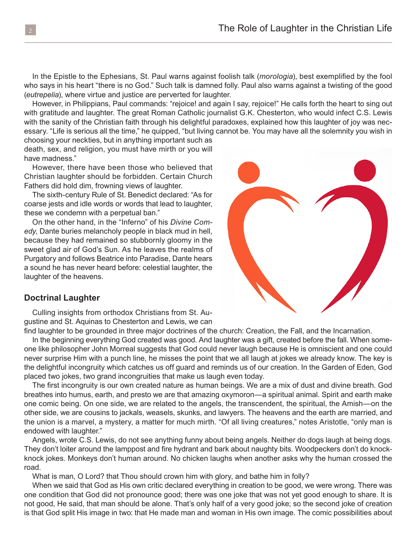In the Epistle to the Ephesians, St. Paul warns against foolish talk (*morologia*), best exemplified by the fool who says in his heart "there is no God." Such talk is damned folly. Paul also warns against a twisting of the good (*eutrepelia*), where virtue and justice are perverted for laughter.

However, in Philippians, Paul commands: "rejoice! and again I say, rejoice!" He calls forth the heart to sing out with gratitude and laughter. The great Roman Catholic journalist G.K. Chesterton, who would infect C.S. Lewis with the sanity of the Christian faith through his delightful paradoxes, explained how this laughter of joy was necessary. "Life is serious all the time," he quipped, "but living cannot be. You may have all the solemnity you wish in

choosing your neckties, but in anything important such as death, sex, and religion, you must have mirth or you will have madness."

However, there have been those who believed that Christian laughter should be forbidden. Certain Church Fathers did hold dim, frowning views of laughter.

The sixth-century Rule of St. Benedict declared: "As for coarse jests and idle words or words that lead to laughter, these we condemn with a perpetual ban."

On the other hand, in the "Inferno" of his *Divine Comedy*, Dante buries melancholy people in black mud in hell, because they had remained so stubbornly gloomy in the sweet glad air of God's Sun. As he leaves the realms of Purgatory and follows Beatrice into Paradise, Dante hears a sound he has never heard before: celestial laughter, the laughter of the heavens.

### **Doctrinal Laughter**

Culling insights from orthodox Christians from St. Augustine and St. Aquinas to Chesterton and Lewis, we can

find laughter to be grounded in three major doctrines of the church: Creation, the Fall, and the Incarnation.

In the beginning everything God created was good. And laughter was a gift, created before the fall. When someone like philosopher John Morreal suggests that God could never laugh because He is omniscient and one could never surprise Him with a punch line, he misses the point that we all laugh at jokes we already know. The key is the delightful incongruity which catches us off guard and reminds us of our creation. In the Garden of Eden, God placed two jokes, two grand incongruities that make us laugh even today.

The first incongruity is our own created nature as human beings. We are a mix of dust and divine breath. God breathes into humus, earth, and presto we are that amazing oxymoron—a spiritual animal. Spirit and earth make one comic being. On one side, we are related to the angels, the transcendent, the spiritual, the Amish—on the other side, we are cousins to jackals, weasels, skunks, and lawyers. The heavens and the earth are married, and the union is a marvel, a mystery, a matter for much mirth. "Of all living creatures," notes Aristotle, "only man is endowed with laughter."

Angels, wrote C.S. Lewis, do not see anything funny about being angels. Neither do dogs laugh at being dogs. They don't loiter around the lamppost and fire hydrant and bark about naughty bits. Woodpeckers don't do knockknock jokes. Monkeys don't human around. No chicken laughs when another asks why the human crossed the road.

What is man, O Lord? that Thou should crown him with glory, and bathe him in folly?

When we said that God as His own critic declared everything in creation to be good, we were wrong. There was one condition that God did not pronounce good; there was one joke that was not yet good enough to share. It is not good, He said, that man should be alone. That's only half of a very good joke; so the second joke of creation is that God split His image in two: that He made man and woman in His own image. The comic possibilities about

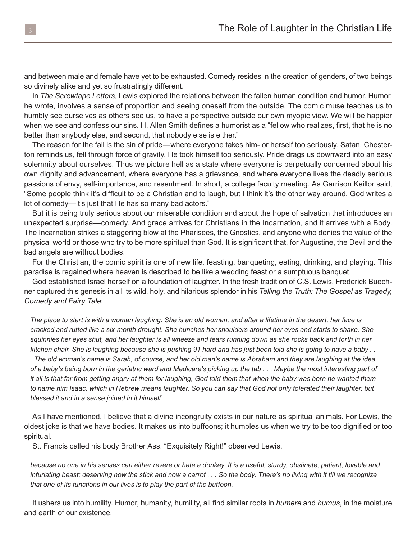and between male and female have yet to be exhausted. Comedy resides in the creation of genders, of two beings so divinely alike and yet so frustratingly different.

In *The Screwtape Letters*, Lewis explored the relations between the fallen human condition and humor. Humor, he wrote, involves a sense of proportion and seeing oneself from the outside. The comic muse teaches us to humbly see ourselves as others see us, to have a perspective outside our own myopic view. We will be happier when we see and confess our sins. H. Allen Smith defines a humorist as a "fellow who realizes, first, that he is no better than anybody else, and second, that nobody else is either."

The reason for the fall is the sin of pride—where everyone takes him- or herself too seriously. Satan, Chesterton reminds us, fell through force of gravity. He took himself too seriously. Pride drags us downward into an easy solemnity about ourselves. Thus we picture hell as a state where everyone is perpetually concerned about his own dignity and advancement, where everyone has a grievance, and where everyone lives the deadly serious passions of envy, self-importance, and resentment. In short, a college faculty meeting. As Garrison Keillor said, "Some people think it's difficult to be a Christian and to laugh, but I think it's the other way around. God writes a lot of comedy—it's just that He has so many bad actors."

But it is being truly serious about our miserable condition and about the hope of salvation that introduces an unexpected surprise—comedy. And grace arrives for Christians in the Incarnation, and it arrives with a Body. The Incarnation strikes a staggering blow at the Pharisees, the Gnostics, and anyone who denies the value of the physical world or those who try to be more spiritual than God. It is significant that, for Augustine, the Devil and the bad angels are without bodies.

For the Christian, the comic spirit is one of new life, feasting, banqueting, eating, drinking, and playing. This paradise is regained where heaven is described to be like a wedding feast or a sumptuous banquet.

God established Israel herself on a foundation of laughter. In the fresh tradition of C.S. Lewis, Frederick Buechner captured this genesis in all its wild, holy, and hilarious splendor in his *Telling the Truth: The Gospel as Tragedy, Comedy and Fairy Tale*:

*The place to start is with a woman laughing. She is an old woman, and after a lifetime in the desert, her face is cracked and rutted like a six-month drought. She hunches her shoulders around her eyes and starts to shake. She squinnies her eyes shut, and her laughter is all wheeze and tears running down as she rocks back and forth in her kitchen chair. She is laughing because she is pushing 91 hard and has just been told she is going to have a baby . . . The old woman's name is Sarah, of course, and her old man's name is Abraham and they are laughing at the idea of a baby's being born in the geriatric ward and Medicare's picking up the tab . . . Maybe the most interesting part of it all is that far from getting angry at them for laughing, God told them that when the baby was born he wanted them to name him Isaac, which in Hebrew means laughter. So you can say that God not only tolerated their laughter, but blessed it and in a sense joined in it himself.* 

As I have mentioned, I believe that a divine incongruity exists in our nature as spiritual animals. For Lewis, the oldest joke is that we have bodies. It makes us into buffoons; it humbles us when we try to be too dignified or too spiritual.

St. Francis called his body Brother Ass. "Exquisitely Right!" observed Lewis,

*because no one in his senses can either revere or hate a donkey. It is a useful, sturdy, obstinate, patient, lovable and infuriating beast; deserving now the stick and now a carrot . . . So the body. There's no living with it till we recognize that one of its functions in our lives is to play the part of the buffoon.*

It ushers us into humility. Humor, humanity, humility, all find similar roots in *humere* and *humus*, in the moisture and earth of our existence.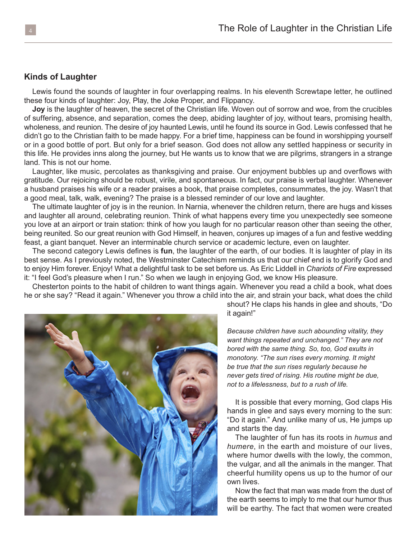#### **Kinds of Laughter**

Lewis found the sounds of laughter in four overlapping realms. In his eleventh Screwtape letter, he outlined these four kinds of laughter: Joy, Play, the Joke Proper, and Flippancy.

**Joy** is the laughter of heaven, the secret of the Christian life. Woven out of sorrow and woe, from the crucibles of suffering, absence, and separation, comes the deep, abiding laughter of joy, without tears, promising health, wholeness, and reunion. The desire of joy haunted Lewis, until he found its source in God. Lewis confessed that he didn't go to the Christian faith to be made happy. For a brief time, happiness can be found in worshipping yourself or in a good bottle of port. But only for a brief season. God does not allow any settled happiness or security in this life. He provides inns along the journey, but He wants us to know that we are pilgrims, strangers in a strange land. This is not our home.

Laughter, like music, percolates as thanksgiving and praise. Our enjoyment bubbles up and overflows with gratitude. Our rejoicing should be robust, virile, and spontaneous. In fact, our praise is verbal laughter. Whenever a husband praises his wife or a reader praises a book, that praise completes, consummates, the joy. Wasn't that a good meal, talk, walk, evening? The praise is a blessed reminder of our love and laughter.

The ultimate laughter of joy is in the reunion. In Narnia, whenever the children return, there are hugs and kisses and laughter all around, celebrating reunion. Think of what happens every time you unexpectedly see someone you love at an airport or train station: think of how you laugh for no particular reason other than seeing the other, being reunited. So our great reunion with God Himself, in heaven, conjures up images of a fun and festive wedding feast, a giant banquet. Never an interminable church service or academic lecture, even on laughter.

The second category Lewis defines is **fun**, the laughter of the earth, of our bodies. It is laughter of play in its best sense. As I previously noted, the Westminster Catechism reminds us that our chief end is to glorify God and to enjoy Him forever. Enjoy! What a delightful task to be set before us. As Eric Liddell in *Chariots of Fire* expressed it: "I feel God's pleasure when I run." So when we laugh in enjoying God, we know His pleasure.

Chesterton points to the habit of children to want things again. Whenever you read a child a book, what does he or she say? "Read it again." Whenever you throw a child into the air, and strain your back, what does the child



it again!"

*Because children have such abounding vitality, they want things repeated and unchanged." They are not bored with the same thing. So, too, God exults in monotony. "The sun rises every morning. It might be true that the sun rises regularly because he never gets tired of rising. His routine might be due, not to a lifelessness, but to a rush of life.* 

It is possible that every morning, God claps His hands in glee and says every morning to the sun: "Do it again." And unlike many of us, He jumps up and starts the day.

The laughter of fun has its roots in *humus* and *humere*, in the earth and moisture of our lives, where humor dwells with the lowly, the common, the vulgar, and all the animals in the manger. That cheerful humility opens us up to the humor of our own lives.

Now the fact that man was made from the dust of the earth seems to imply to me that our humor thus will be earthy. The fact that women were created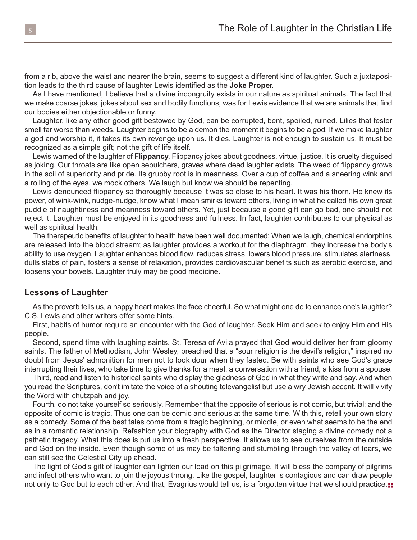from a rib, above the waist and nearer the brain, seems to suggest a different kind of laughter. Such a juxtaposition leads to the third cause of laughter Lewis identified as the **Joke Prope**r.

As I have mentioned, I believe that a divine incongruity exists in our nature as spiritual animals. The fact that we make coarse jokes, jokes about sex and bodily functions, was for Lewis evidence that we are animals that find our bodies either objectionable or funny.

Laughter, like any other good gift bestowed by God, can be corrupted, bent, spoiled, ruined. Lilies that fester smell far worse than weeds. Laughter begins to be a demon the moment it begins to be a god. If we make laughter a god and worship it, it takes its own revenge upon us. It dies. Laughter is not enough to sustain us. It must be recognized as a simple gift; not the gift of life itself.

Lewis warned of the laughter of **Flippancy**. Flippancy jokes about goodness, virtue, justice. It is cruelty disguised as joking. Our throats are like open sepulchers, graves where dead laughter exists. The weed of flippancy grows in the soil of superiority and pride. Its grubby root is in meanness. Over a cup of coffee and a sneering wink and a rolling of the eyes, we mock others. We laugh but know we should be repenting.

Lewis denounced flippancy so thoroughly because it was so close to his heart. It was his thorn. He knew its power, of wink-wink, nudge-nudge, know what I mean smirks toward others, living in what he called his own great puddle of naughtiness and meanness toward others. Yet, just because a good gift can go bad, one should not reject it. Laughter must be enjoyed in its goodness and fullness. In fact, laughter contributes to our physical as well as spiritual health.

The therapeutic benefits of laughter to health have been well documented: When we laugh, chemical endorphins are released into the blood stream; as laughter provides a workout for the diaphragm, they increase the body's ability to use oxygen. Laughter enhances blood flow, reduces stress, lowers blood pressure, stimulates alertness, dulls stabs of pain, fosters a sense of relaxation, provides cardiovascular benefits such as aerobic exercise, and loosens your bowels. Laughter truly may be good medicine.

#### **Lessons of Laughter**

As the proverb tells us, a happy heart makes the face cheerful. So what might one do to enhance one's laughter? C.S. Lewis and other writers offer some hints.

First, habits of humor require an encounter with the God of laughter. Seek Him and seek to enjoy Him and His people.

Second, spend time with laughing saints. St. Teresa of Avila prayed that God would deliver her from gloomy saints. The father of Methodism, John Wesley, preached that a "sour religion is the devil's religion," inspired no doubt from Jesus' admonition for men not to look dour when they fasted. Be with saints who see God's grace interrupting their lives, who take time to give thanks for a meal, a conversation with a friend, a kiss from a spouse.

Third, read and listen to historical saints who display the gladness of God in what they write and say. And when you read the Scriptures, don't imitate the voice of a shouting televangelist but use a wry Jewish accent. It will vivify the Word with chutzpah and joy.

Fourth, do not take yourself so seriously. Remember that the opposite of serious is not comic, but trivial; and the opposite of comic is tragic. Thus one can be comic and serious at the same time. With this, retell your own story as a comedy. Some of the best tales come from a tragic beginning, or middle, or even what seems to be the end as in a romantic relationship. Refashion your biography with God as the Director staging a divine comedy not a pathetic tragedy. What this does is put us into a fresh perspective. It allows us to see ourselves from the outside and God on the inside. Even though some of us may be faltering and stumbling through the valley of tears, we can still see the Celestial City up ahead.

The light of God's gift of laughter can lighten our load on this pilgrimage. It will bless the company of pilgrims and infect others who want to join the joyous throng. Like the gospel, laughter is contagious and can draw people not only to God but to each other. And that, Evagrius would tell us, is a forgotten virtue that we should practice. $\blacksquare$